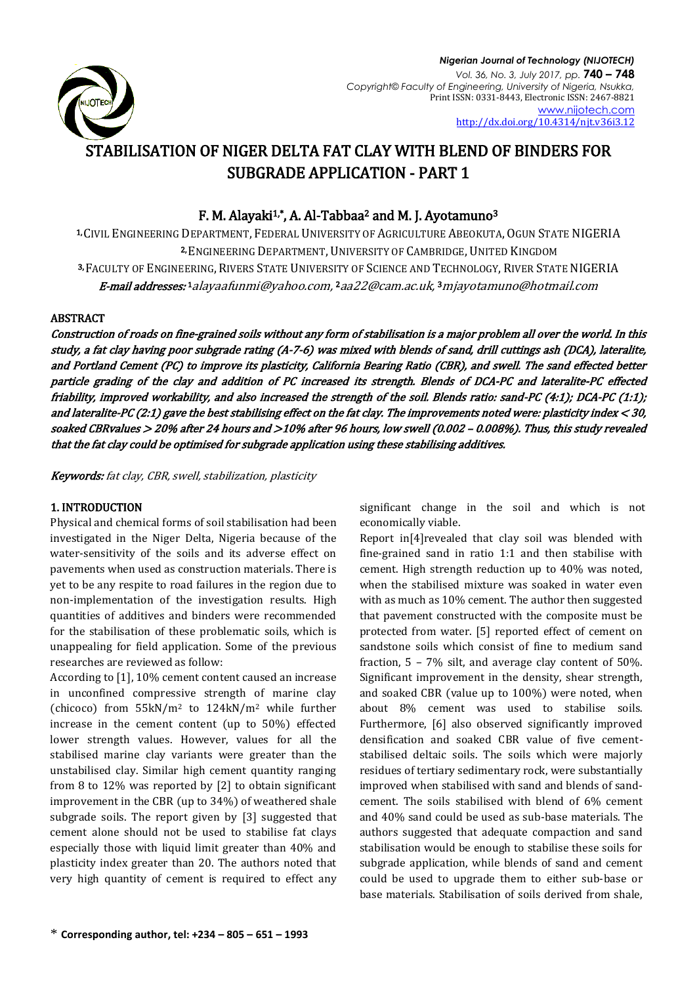

# STABILISATION OF NIGER DELTA FAT CLAY WITH BLEND OF BINDERS FOR SUBGRADE APPLICATION - PART 1

# F. M. Alayaki<sup>1,\*</sup>, A. Al-Tabbaa<sup>2</sup> and M. J. Ayotamuno<sup>3</sup>

1, CIVIL ENGINEERING DEPARTMENT, FEDERAL UNIVERSITY OF AGRICULTURE ABEOKUTA, OGUN STATE NIGERIA 2,ENGINEERING DEPARTMENT, UNIVERSITY OF CAMBRIDGE, UNITED KINGDOM 3,FACULTY OF ENGINEERING, RIVERS STATE UNIVERSITY OF SCIENCE AND TECHNOLOGY, RIVER STATE NIGERIA E-mail addresses: <sup>1</sup>[alayaafunmi@yahoo.com,](mailto:alayaafunmi@yahoo.com)  2[aa22@cam.ac.uk,](mailto:aa22@cam.ac.uk)  <sup>3</sup>[mjayotamuno@hotmail.com](mailto:mjayotamuno@hotmail.com)

# ABSTRACT

Construction of roads on fine-grained soils without any form of stabilisation is a major problem all over the world. In this study, a fat clay having poor subgrade rating (A-7-6) was mixed with blends of sand, drill cuttings ash (DCA), lateralite, and Portland Cement (PC) to improve its plasticity, California Bearing Ratio (CBR), and swell. The sand effected better particle grading of the clay and addition of PC increased its strength. Blends of DCA-PC and lateralite-PC effected friability, improved workability, and also increased the strength of the soil. Blends ratio: sand-PC (4:1); DCA-PC (1:1); and lateralite-PC (2:1) gave the best stabilising effect on the fat clay. The improvements noted were: plasticity index  $<$  30, soaked CBRvalues > 20% after 24 hours and >10% after 96 hours, low swell (0.002 – 0.008%). Thus, this study revealed that the fat clay could be optimised for subgrade application using these stabilising additives.

Keywords: fat clay, CBR, swell, stabilization, plasticity

# 1. INTRODUCTION

Physical and chemical forms of soil stabilisation had been investigated in the Niger Delta, Nigeria because of the water-sensitivity of the soils and its adverse effect on pavements when used as construction materials. There is yet to be any respite to road failures in the region due to non-implementation of the investigation results. High quantities of additives and binders were recommended for the stabilisation of these problematic soils, which is unappealing for field application. Some of the previous researches are reviewed as follow:

According to [1], 10% cement content caused an increase in unconfined compressive strength of marine clay (chicoco) from 55kN/m<sup>2</sup> to 124kN/m<sup>2</sup> while further increase in the cement content (up to 50%) effected lower strength values. However, values for all the stabilised marine clay variants were greater than the unstabilised clay. Similar high cement quantity ranging from 8 to 12% was reported by [2] to obtain significant improvement in the CBR (up to 34%) of weathered shale subgrade soils. The report given by [3] suggested that cement alone should not be used to stabilise fat clays especially those with liquid limit greater than 40% and plasticity index greater than 20. The authors noted that very high quantity of cement is required to effect any

significant change in the soil and which is not economically viable.

Report in[4]revealed that clay soil was blended with fine-grained sand in ratio 1:1 and then stabilise with cement. High strength reduction up to 40% was noted, when the stabilised mixture was soaked in water even with as much as 10% cement. The author then suggested that pavement constructed with the composite must be protected from water. [5] reported effect of cement on sandstone soils which consist of fine to medium sand fraction, 5 – 7% silt, and average clay content of 50%. Significant improvement in the density, shear strength, and soaked CBR (value up to 100%) were noted, when about 8% cement was used to stabilise soils. Furthermore, [6] also observed significantly improved densification and soaked CBR value of five cementstabilised deltaic soils. The soils which were majorly residues of tertiary sedimentary rock, were substantially improved when stabilised with sand and blends of sandcement. The soils stabilised with blend of 6% cement and 40% sand could be used as sub-base materials. The authors suggested that adequate compaction and sand stabilisation would be enough to stabilise these soils for subgrade application, while blends of sand and cement could be used to upgrade them to either sub-base or base materials. Stabilisation of soils derived from shale,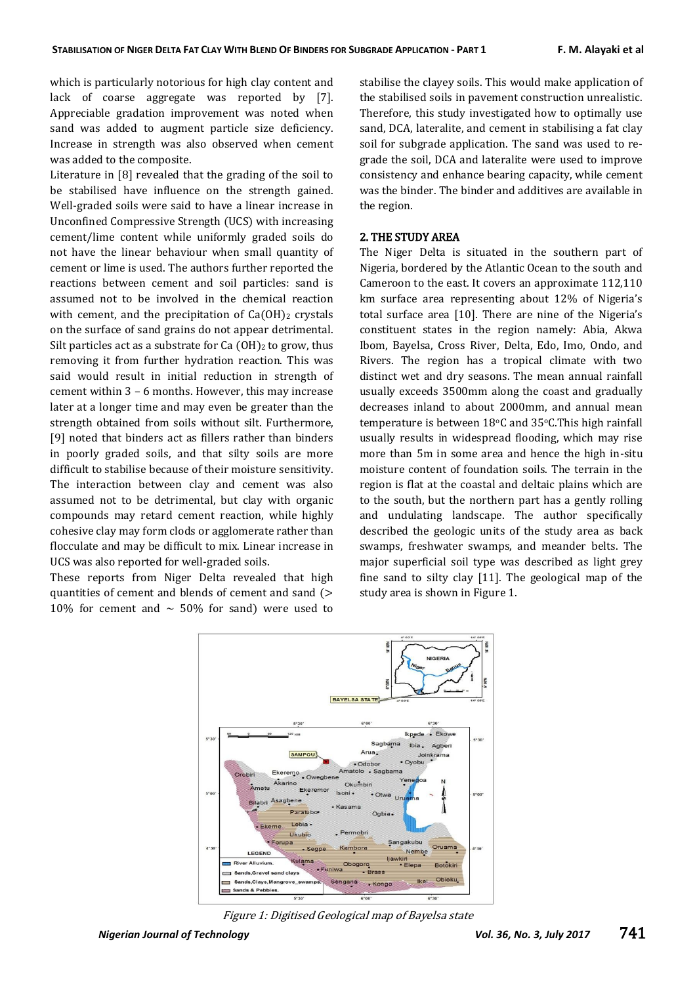which is particularly notorious for high clay content and lack of coarse aggregate was reported by [7]. Appreciable gradation improvement was noted when sand was added to augment particle size deficiency. Increase in strength was also observed when cement was added to the composite.

Literature in [8] revealed that the grading of the soil to be stabilised have influence on the strength gained. Well-graded soils were said to have a linear increase in Unconfined Compressive Strength (UCS) with increasing cement/lime content while uniformly graded soils do not have the linear behaviour when small quantity of cement or lime is used. The authors further reported the reactions between cement and soil particles: sand is assumed not to be involved in the chemical reaction with cement, and the precipitation of  $Ca(OH)_2$  crystals on the surface of sand grains do not appear detrimental. Silt particles act as a substrate for Ca  $(OH)_2$  to grow, thus removing it from further hydration reaction. This was said would result in initial reduction in strength of cement within 3 – 6 months. However, this may increase later at a longer time and may even be greater than the strength obtained from soils without silt. Furthermore, [9] noted that binders act as fillers rather than binders in poorly graded soils, and that silty soils are more difficult to stabilise because of their moisture sensitivity. The interaction between clay and cement was also assumed not to be detrimental, but clay with organic compounds may retard cement reaction, while highly cohesive clay may form clods or agglomerate rather than flocculate and may be difficult to mix. Linear increase in UCS was also reported for well-graded soils.

These reports from Niger Delta revealed that high quantities of cement and blends of cement and sand (> 10% for cement and  $\sim$  50% for sand) were used to

stabilise the clayey soils. This would make application of the stabilised soils in pavement construction unrealistic. Therefore, this study investigated how to optimally use sand, DCA, lateralite, and cement in stabilising a fat clay soil for subgrade application. The sand was used to regrade the soil, DCA and lateralite were used to improve consistency and enhance bearing capacity, while cement was the binder. The binder and additives are available in the region.

## 2. THE STUDY AREA

The Niger Delta is situated in the southern part of Nigeria, bordered by the Atlantic Ocean to the south and Cameroon to the east. It covers an approximate 112,110 km surface area representing about 12% of Nigeria's total surface area [10]. There are nine of the Nigeria's constituent states in the region namely: Abia, Akwa Ibom, Bayelsa, Cross River, Delta, Edo, Imo, Ondo, and Rivers. The region has a tropical climate with two distinct wet and dry seasons. The mean annual rainfall usually exceeds 3500mm along the coast and gradually decreases inland to about 2000mm, and annual mean temperature is between  $18^{\circ}$ C and  $35^{\circ}$ C. This high rainfall usually results in widespread flooding, which may rise more than 5m in some area and hence the high in-situ moisture content of foundation soils. The terrain in the region is flat at the coastal and deltaic plains which are to the south, but the northern part has a gently rolling and undulating landscape. The author specifically described the geologic units of the study area as back swamps, freshwater swamps, and meander belts. The major superficial soil type was described as light grey fine sand to silty clay [11]. The geological map of the study area is shown in Figure 1.



Figure 1: Digitised Geological map of Bayelsa state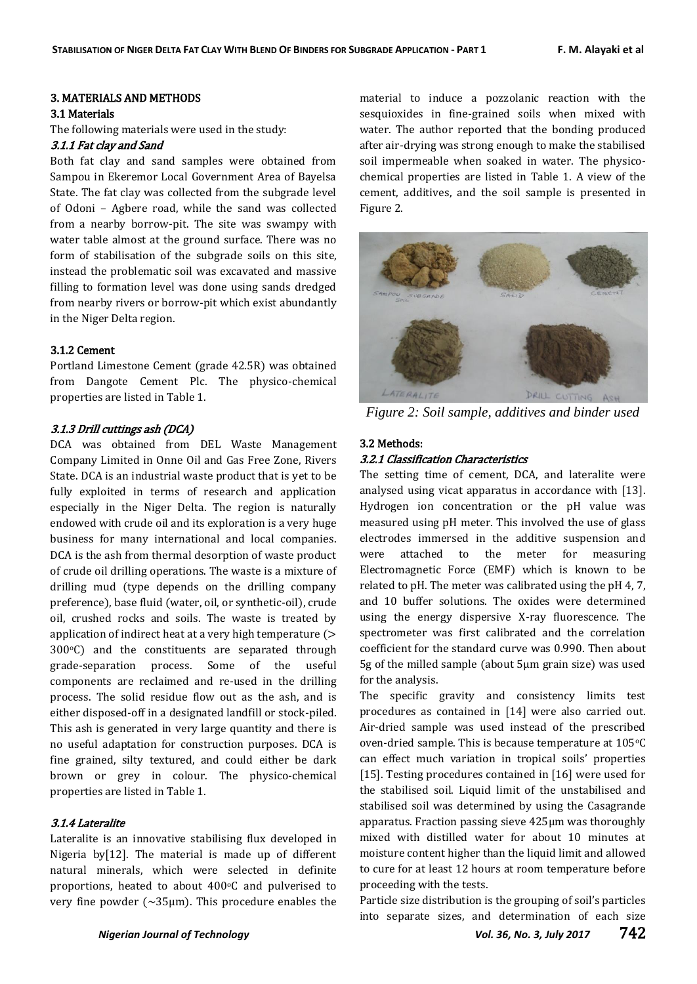## 3. MATERIALS AND METHODS

#### 3.1 Materials

The following materials were used in the study:

#### 3.1.1 Fat clay and Sand

Both fat clay and sand samples were obtained from Sampou in Ekeremor Local Government Area of Bayelsa State. The fat clay was collected from the subgrade level of Odoni – Agbere road, while the sand was collected from a nearby borrow-pit. The site was swampy with water table almost at the ground surface. There was no form of stabilisation of the subgrade soils on this site, instead the problematic soil was excavated and massive filling to formation level was done using sands dredged from nearby rivers or borrow-pit which exist abundantly in the Niger Delta region.

#### 3.1.2 Cement

Portland Limestone Cement (grade 42.5R) was obtained from Dangote Cement Plc. The physico-chemical properties are listed in Table 1.

#### 3.1.3 Drill cuttings ash (DCA)

DCA was obtained from [DEL](file:///C:/Users/Admin/AppData/Local/Temp/Investigation%20of%20the%20Drill%20Cutting......docx) Waste Management Company Limited in [Onne Oil and Gas Free Zone, Rivers](file:///C:/Users/Admin/AppData/Local/Temp/Investigation%20of%20the%20Drill%20Cutting......docx)  [State.](file:///C:/Users/Admin/AppData/Local/Temp/Investigation%20of%20the%20Drill%20Cutting......docx) DCA is an industrial waste product that is yet to be fully exploited in terms of research and application especially in the Niger Delta. The region is naturally endowed with crude oil and its exploration is a very huge business for many international and local companies. DCA is the ash from thermal desorption of waste product of crude oil drilling operations. The waste is a mixture of drilling mud (type depends on the drilling company preference), base fluid (water, oil, or synthetic-oil), crude oil, crushed rocks and soils. The waste is treated by application of indirect heat at a very high temperature  $($  $300^{\circ}$ C) and the constituents are separated through grade-separation process. Some of the useful components are reclaimed and [re-used](file:///C:/Users/Admin/AppData/Local/Temp/Investigation%20of%20the%20Drill%20Cutting......docx) in the drilling process. The solid residue flow out as the ash, and is either disposed-off in a designated landfill or stock-piled. This ash is generated in very large quantity and there is no useful adaptation for construction purposes. DCA is fine grained, silty textured, and could either be dark brown or grey in colour. The physico-chemical properties are listed in Table 1.

#### 3.1.4 Lateralite

Lateralite is an innovative stabilising flux developed in Nigeria by[12]. The material is made up of different natural minerals, which were selected in definite proportions, heated to about  $400^{\circ}$ C and pulverised to very fine powder ( $\sim$ 35 $\mu$ m). This procedure enables the

material to induce a pozzolanic reaction with the sesquioxides in fine-grained soils when mixed with water. The author reported that the bonding produced after air-drying was strong enough to make the stabilised soil impermeable when soaked in water. The physicochemical properties are listed in Table 1. A view of the cement, additives, and the soil sample is presented in Figure 2.



*Figure 2: Soil sample, additives and binder used*

#### 3.2 Methods: 3.2.1 Classification Characteristics

The setting time of cement, DCA, and lateralite were analysed using vicat apparatus in accordance with [13]. Hydrogen ion concentration or the pH value was measured using pH meter. This involved the use of glass electrodes immersed in the additive suspension and were attached to the meter for measuring Electromagnetic Force (EMF) which is known to be related to pH. The meter was calibrated using the pH 4, 7, and 10 buffer solutions. The oxides were determined using the energy dispersive X-ray fluorescence. The spectrometer was first calibrated and the correlation coefficient for the standard curve was 0.990. Then about 5g of the milled sample (about 5µm grain size) was used for the analysis.

The specific gravity and consistency limits test procedures as contained in [14] were also carried out. Air-dried sample was used instead of the prescribed oven-dried sample. This is because temperature at  $105\textdegree C$ can effect much variation in tropical soils' properties [15]. Testing procedures contained in [16] were used for the stabilised soil. Liquid limit of the unstabilised and stabilised soil was determined by using the Casagrande apparatus. Fraction passing sieve 425µm was thoroughly mixed with distilled water for about 10 minutes at moisture content higher than the liquid limit and allowed to cure for at least 12 hours at room temperature before proceeding with the tests.

Particle size distribution is the grouping of soil's particles into separate sizes, and determination of each size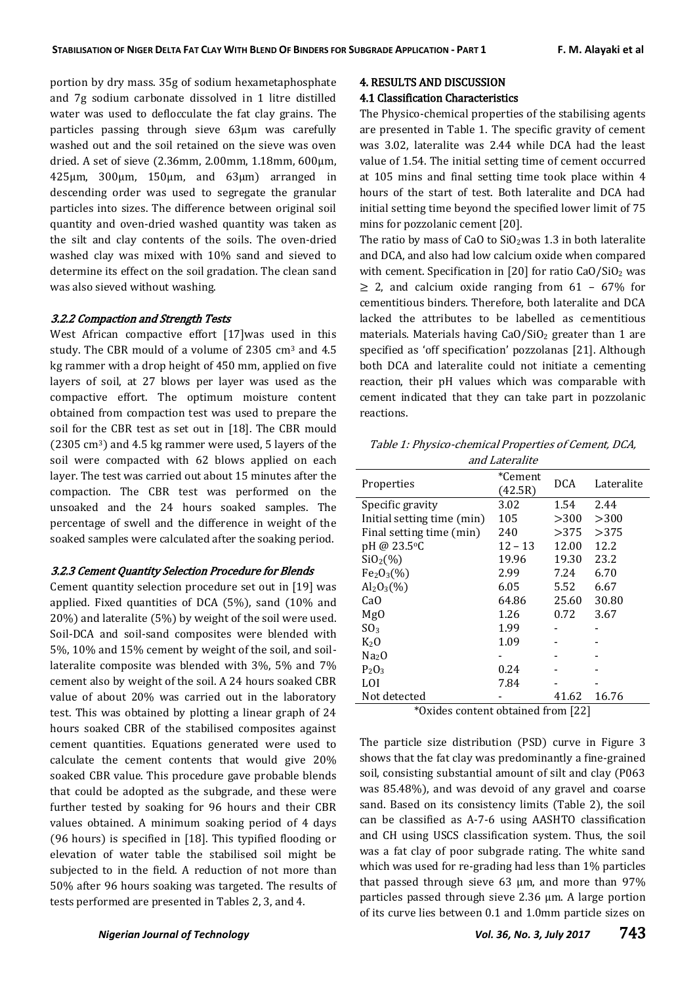portion by dry mass. 35g of sodium hexametaphosphate and 7g sodium carbonate dissolved in 1 litre distilled water was used to deflocculate the fat clay grains. The particles passing through sieve 63µm was carefully washed out and the soil retained on the sieve was oven dried. A set of sieve (2.36mm, 2.00mm, 1.18mm, 600µm,  $425\mu$ m,  $300\mu$ m,  $150\mu$ m, and  $63\mu$ m) arranged in descending order was used to segregate the granular particles into sizes. The difference between original soil quantity and oven-dried washed quantity was taken as the silt and clay contents of the soils. The oven-dried washed clay was mixed with 10% sand and sieved to determine its effect on the soil gradation. The clean sand was also sieved without washing.

#### 3.2.2 Compaction and Strength Tests

West African compactive effort [17]was used in this study. The CBR mould of a volume of 2305 cm<sup>3</sup> and 4.5 kg rammer with a drop height of 450 mm, applied on five layers of soil, at 27 blows per layer was used as the compactive effort. The optimum moisture content obtained from compaction test was used to prepare the soil for the CBR test as set out in [18]. The CBR mould (2305 cm3) and 4.5 kg rammer were used, 5 layers of the soil were compacted with 62 blows applied on each layer. The test was carried out about 15 minutes after the compaction. The CBR test was performed on the unsoaked and the 24 hours soaked samples. The percentage of swell and the difference in weight of the soaked samples were calculated after the soaking period.

# 3.2.3 Cement Quantity Selection Procedure for Blends

Cement quantity selection procedure set out in [19] was applied. Fixed quantities of DCA (5%), sand (10% and 20%) and lateralite (5%) by weight of the soil were used. Soil-DCA and soil-sand composites were blended with 5%, 10% and 15% cement by weight of the soil, and soillateralite composite was blended with 3%, 5% and 7% cement also by weight of the soil. A 24 hours soaked CBR value of about 20% was carried out in the laboratory test. This was obtained by plotting a linear graph of 24 hours soaked CBR of the stabilised composites against cement quantities. Equations generated were used to calculate the cement contents that would give 20% soaked CBR value. This procedure gave probable blends that could be adopted as the subgrade, and these were further tested by soaking for 96 hours and their CBR values obtained. A minimum soaking period of 4 days (96 hours) is specified in [18]. This typified flooding or elevation of water table the stabilised soil might be subjected to in the field. A reduction of not more than 50% after 96 hours soaking was targeted. The results of tests performed are presented in Tables 2, 3, and 4.

# 4. RESULTS AND DISCUSSION

#### 4.1 Classification Characteristics

The Physico-chemical properties of the stabilising agents are presented in Table 1. The specific gravity of cement was 3.02, lateralite was 2.44 while DCA had the least value of 1.54. The initial setting time of cement occurred at 105 mins and final setting time took place within 4 hours of the start of test. Both lateralite and DCA had initial setting time beyond the specified lower limit of 75 mins for pozzolanic cement [20].

The ratio by mass of CaO to  $SiO<sub>2</sub>$ was 1.3 in both lateralite and DCA, and also had low calcium oxide when compared with cement. Specification in [20] for ratio  $CaO/SiO<sub>2</sub>$  was  $\geq$  2, and calcium oxide ranging from 61 – 67% for cementitious binders. Therefore, both lateralite and DCA lacked the attributes to be labelled as cementitious materials. Materials having  $CaO/SiO<sub>2</sub>$  greater than 1 are specified as 'off specification' pozzolanas [21]. Although both DCA and lateralite could not initiate a cementing reaction, their pH values which was comparable with cement indicated that they can take part in pozzolanic reactions.

Table 1: Physico-chemical Properties of Cement, DCA, and Lateralite

| ани тасы анс                       |                              |            |            |  |  |  |  |  |
|------------------------------------|------------------------------|------------|------------|--|--|--|--|--|
| Properties                         | *Cement<br>(42.5R)           | <b>DCA</b> | Lateralite |  |  |  |  |  |
| Specific gravity                   | 3.02                         | 1.54       | 2.44       |  |  |  |  |  |
| Initial setting time (min)         | 105                          | >300       | > 300      |  |  |  |  |  |
| Final setting time (min)           | 240                          | >375       | >375       |  |  |  |  |  |
| pH @ 23.5°C                        | $12 - 13$                    | 12.00      | 12.2       |  |  |  |  |  |
| SiO <sub>2</sub> (% )              | 19.96                        | 19.30      | 23.2       |  |  |  |  |  |
| Fe <sub>2</sub> O <sub>3</sub> (%) | 2.99                         | 7.24       | 6.70       |  |  |  |  |  |
| $Al_2O_3(\% )$                     | 6.05                         | 5.52       | 6.67       |  |  |  |  |  |
| Ca <sub>O</sub>                    | 64.86                        | 25.60      | 30.80      |  |  |  |  |  |
| MgO                                | 1.26                         | 0.72       | 3.67       |  |  |  |  |  |
| SO <sub>3</sub>                    | 1.99                         |            |            |  |  |  |  |  |
| $K_2O$                             | 1.09                         |            |            |  |  |  |  |  |
| Na2O                               |                              |            |            |  |  |  |  |  |
| $P_2O_3$                           | 0.24                         |            |            |  |  |  |  |  |
| <b>LOI</b>                         | 7.84                         |            |            |  |  |  |  |  |
| Not detected                       |                              | 41.62      | 16.76      |  |  |  |  |  |
|                                    | $\mathbf{r}$<br>$\mathbf{r}$ |            |            |  |  |  |  |  |

\*Oxides content obtained from [22]

The particle size distribution (PSD) curve in Figure 3 shows that the fat clay was predominantly a fine-grained soil, consisting substantial amount of silt and clay (P063 was 85.48%), and was devoid of any gravel and coarse sand. Based on its consistency limits (Table 2), the soil can be classified as A-7-6 using AASHTO classification and CH using USCS classification system. Thus, the soil was a fat clay of poor subgrade rating. The white sand which was used for re-grading had less than 1% particles that passed through sieve  $63 \mu m$ , and more than  $97\%$ particles passed through sieve 2.36 µm. A large portion of its curve lies between 0.1 and 1.0mm particle sizes on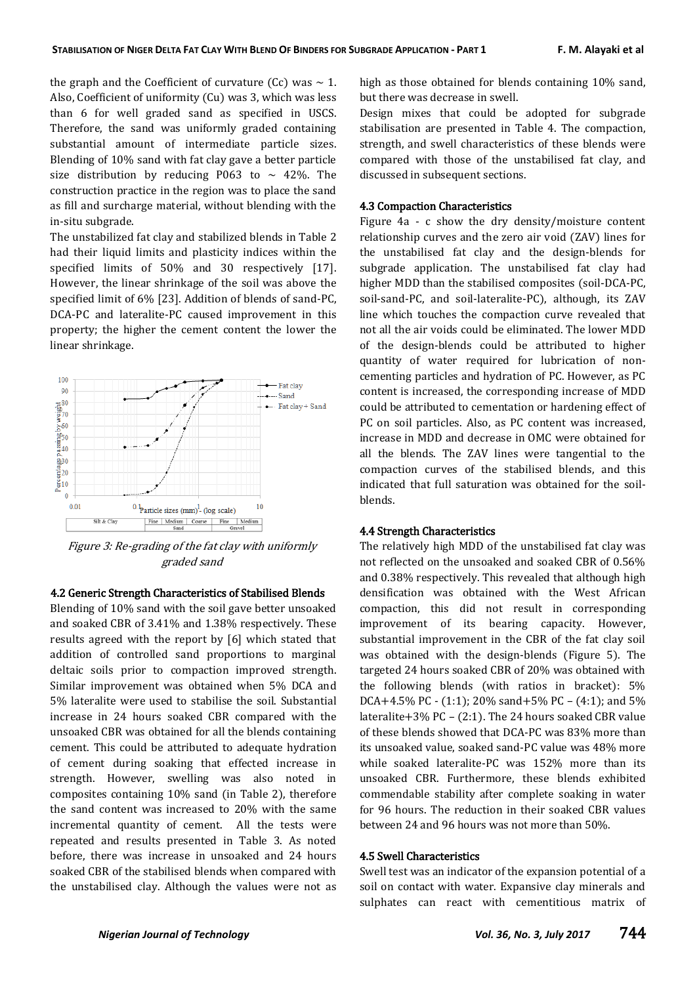the graph and the Coefficient of curvature (Cc) was  $\sim 1$ . Also, Coefficient of uniformity (Cu) was 3, which was less than 6 for well graded sand as specified in USCS. Therefore, the sand was uniformly graded containing substantial amount of intermediate particle sizes. Blending of 10% sand with fat clay gave a better particle size distribution by reducing P063 to  $\sim$  42%. The construction practice in the region was to place the sand as fill and surcharge material, without blending with the in-situ subgrade.

The unstabilized fat clay and stabilized blends in Table 2 had their liquid limits and plasticity indices within the specified limits of 50% and 30 respectively [17]. However, the linear shrinkage of the soil was above the specified limit of 6% [23]. Addition of blends of sand-PC, DCA-PC and lateralite-PC caused improvement in this property; the higher the cement content the lower the linear shrinkage.



Figure 3: Re-grading of the fat clay with uniformly graded sand

#### 4.2 Generic Strength Characteristics of Stabilised Blends

Blending of 10% sand with the soil gave better unsoaked and soaked CBR of 3.41% and 1.38% respectively. These results agreed with the report by [6] which stated that addition of controlled sand proportions to marginal deltaic soils prior to compaction improved strength. Similar improvement was obtained when 5% DCA and 5% lateralite were used to stabilise the soil. Substantial increase in 24 hours soaked CBR compared with the unsoaked CBR was obtained for all the blends containing cement. This could be attributed to adequate hydration of cement during soaking that effected increase in strength. However, swelling was also noted in composites containing 10% sand (in Table 2), therefore the sand content was increased to 20% with the same incremental quantity of cement. All the tests were repeated and results presented in Table 3. As noted before, there was increase in unsoaked and 24 hours soaked CBR of the stabilised blends when compared with the unstabilised clay. Although the values were not as

high as those obtained for blends containing 10% sand, but there was decrease in swell.

Design mixes that could be adopted for subgrade stabilisation are presented in Table 4. The compaction, strength, and swell characteristics of these blends were compared with those of the unstabilised fat clay, and discussed in subsequent sections.

#### 4.3 Compaction Characteristics

Figure 4a - c show the dry density/moisture content relationship curves and the zero air void (ZAV) lines for the unstabilised fat clay and the design-blends for subgrade application. The unstabilised fat clay had higher MDD than the stabilised composites (soil-DCA-PC, soil-sand-PC, and soil-lateralite-PC), although, its ZAV line which touches the compaction curve revealed that not all the air voids could be eliminated. The lower MDD of the design-blends could be attributed to higher quantity of water required for lubrication of noncementing particles and hydration of PC. However, as PC content is increased, the corresponding increase of MDD could be attributed to cementation or hardening effect of PC on soil particles. Also, as PC content was increased, increase in MDD and decrease in OMC were obtained for all the blends. The ZAV lines were tangential to the compaction curves of the stabilised blends, and this indicated that full saturation was obtained for the soilblends.

#### 4.4 Strength Characteristics

The relatively high MDD of the unstabilised fat clay was not reflected on the unsoaked and soaked CBR of 0.56% and 0.38% respectively. This revealed that although high densification was obtained with the West African compaction, this did not result in corresponding improvement of its bearing capacity. However, substantial improvement in the CBR of the fat clay soil was obtained with the design-blends (Figure 5). The targeted 24 hours soaked CBR of 20% was obtained with the following blends (with ratios in bracket): 5% DCA+4.5% PC -  $(1:1)$ ; 20% sand+5% PC –  $(4:1)$ ; and 5% lateralite+3% PC – (2:1). The 24 hours soaked CBR value of these blends showed that DCA-PC was 83% more than its unsoaked value, soaked sand-PC value was 48% more while soaked lateralite-PC was 152% more than its unsoaked CBR. Furthermore, these blends exhibited commendable stability after complete soaking in water for 96 hours. The reduction in their soaked CBR values between 24 and 96 hours was not more than 50%.

#### 4.5 Swell Characteristics

Swell test was an indicator of the expansion potential of a soil on contact with water. Expansive clay minerals and sulphates can react with cementitious matrix of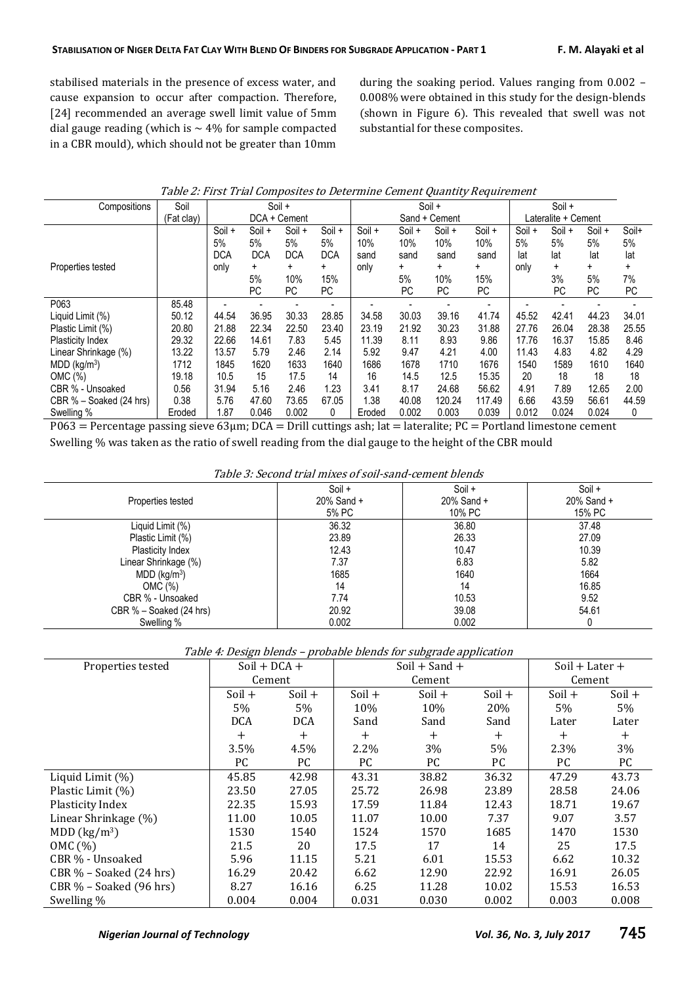stabilised materials in the presence of excess water, and cause expansion to occur after compaction. Therefore, [24] recommended an average swell limit value of 5mm dial gauge reading (which is  $\sim$  4% for sample compacted in a CBR mould), which should not be greater than 10mm

during the soaking period. Values ranging from 0.002 – 0.008% were obtained in this study for the design-blends (shown in Figure 6). This revealed that swell was not substantial for these composites.

| Compositions               | Soil       | Soil +        |            |        | Soil +        |        |        | Soil +              |        |        |           |           |           |
|----------------------------|------------|---------------|------------|--------|---------------|--------|--------|---------------------|--------|--------|-----------|-----------|-----------|
|                            | (Fat clav) | DCA + Cement  |            |        | Sand + Cement |        |        | Lateralite + Cement |        |        |           |           |           |
|                            |            | Soil +        | Soil +     | Soil + | Soil +        | Soil + | Soil + | Soil +              | Soil + | Soil + | Soil +    | Soil +    | Soil+     |
|                            |            | 5%            | 5%         | 5%     | 5%            | 10%    | 10%    | 10%                 | 10%    | 5%     | 5%        | 5%        | 5%        |
|                            |            | <b>DCA</b>    | <b>DCA</b> | DCA    | <b>DCA</b>    | sand   | sand   | sand                | sand   | lat    | lat       | lat       | lat       |
| Properties tested          |            | only          | $+$        | $+$    | $+$           | only   | +      | $\ddot{}$           | +      | only   | $+$       | $\ddot{}$ | ÷         |
|                            |            |               | 5%         | 10%    | 15%           |        | 5%     | 10%                 | 15%    |        | 3%        | 5%        | 7%        |
|                            |            |               | PC         | PC     | <b>PC</b>     |        | PC     | <b>PC</b>           | PC     |        | <b>PC</b> | PC        | <b>PC</b> |
| P063                       | 85.48      |               |            |        |               |        |        |                     |        |        |           |           |           |
| Liquid Limit (%)           | 50.12      | 44.54         | 36.95      | 30.33  | 28.85         | 34.58  | 30.03  | 39.16               | 41.74  | 45.52  | 42.41     | 44.23     | 34.01     |
| Plastic Limit (%)          | 20.80      | 21.88         | 22.34      | 22.50  | 23.40         | 23.19  | 21.92  | 30.23               | 31.88  | 27.76  | 26.04     | 28.38     | 25.55     |
| Plasticity Index           | 29.32      | 22.66         | 14.61      | 7.83   | 5.45          | 11.39  | 8.11   | 8.93                | 9.86   | 17.76  | 16.37     | 15.85     | 8.46      |
| Linear Shrinkage (%)       | 13.22      | 13.57         | 5.79       | 2.46   | 2.14          | 5.92   | 9.47   | 4.21                | 4.00   | 11.43  | 4.83      | 4.82      | 4.29      |
| $MDD$ (kg/m <sup>3</sup> ) | 1712       | 1845          | 1620       | 1633   | 1640          | 1686   | 1678   | 1710                | 1676   | 1540   | 1589      | 1610      | 1640      |
| OMC (%)                    | 19.18      | 10.5          | 15         | 17.5   | 14            | 16     | 14.5   | 12.5                | 15.35  | 20     | 18        | 18        | 18        |
| CBR % - Unsoaked           | 0.56       | 31.94         | 5.16       | 2.46   | 1.23          | 3.41   | 8.17   | 24.68               | 56.62  | 4.91   | 7.89      | 12.65     | 2.00      |
| CBR % - Soaked (24 hrs)    | 0.38       | 5.76          | 47.60      | 73.65  | 67.05         | 1.38   | 40.08  | 120.24              | 117.49 | 6.66   | 43.59     | 56.61     | 44.59     |
| Swelling %                 | Eroded     | 1.87          | 0.046      | 0.002  | 0             | Eroded | 0.002  | 0.003               | 0.039  | 0.012  | 0.024     | 0.024     | 0         |
|                            |            | $\sim$ $\sim$ | - - -      |        |               |        |        |                     |        | .      |           |           |           |

P063 = Percentage passing sieve 63 $\mu$ m; DCA = Drill cuttings ash; lat = lateralite; PC = Portland limestone cement Swelling % was taken as the ratio of swell reading from the dial gauge to the height of the CBR mould

Table 3: Second trial mixes of soil-sand-cement blends

|                            | Soil +          | Soil +          | Soil +     |
|----------------------------|-----------------|-----------------|------------|
| Properties tested          | $20\%$ Sand $+$ | $20\%$ Sand $+$ | 20% Sand + |
|                            | 5% PC           | 10% PC          | 15% PC     |
| Liquid Limit (%)           | 36.32           | 36.80           | 37.48      |
| Plastic Limit (%)          | 23.89           | 26.33           | 27.09      |
| Plasticity Index           | 12.43           | 10.47           | 10.39      |
| Linear Shrinkage (%)       | 7.37            | 6.83            | 5.82       |
| $MDD$ (kg/m <sup>3</sup> ) | 1685            | 1640            | 1664       |
| OMC (%)                    | 14              | 14              | 16.85      |
| CBR % - Unsoaked           | 7.74            | 10.53           | 9.52       |
| CBR % - Soaked (24 hrs)    | 20.92           | 39.08           | 54.61      |
| Swelling %                 | 0.002           | 0.002           |            |

| Table 4: Design blends - probable blends for subgrade application |  |  |
|-------------------------------------------------------------------|--|--|
|                                                                   |  |  |

| Properties tested          | $Soil + DCA +$ |            | . .<br>$Soil + Sand +$ |          |          | $Soil + Later +$ |          |  |
|----------------------------|----------------|------------|------------------------|----------|----------|------------------|----------|--|
|                            | Cement         |            |                        | Cement   | Cement   |                  |          |  |
|                            | $Soil +$       | $Soil +$   | $Soil +$               | $Soil +$ | $Soil +$ | $Soil +$         | $Soil +$ |  |
|                            | 5%             | 5%         | 10%                    | 10%      | 20%      | 5%               | 5%       |  |
|                            | <b>DCA</b>     | <b>DCA</b> | Sand                   | Sand     | Sand     | Later            | Later    |  |
|                            | $\mathrm{+}$   | $^{+}$     | $^{+}$                 | $^{+}$   | $^{+}$   | $^{+}$           | $^{+}$   |  |
|                            | 3.5%           | 4.5%       | 2.2%                   | 3%       | 5%       | 2.3%             | 3%       |  |
|                            | PC.            | PC         | PC                     | PC       | PC       | PC               | PC       |  |
| Liquid Limit (%)           | 45.85          | 42.98      | 43.31                  | 38.82    | 36.32    | 47.29            | 43.73    |  |
| Plastic Limit (%)          | 23.50          | 27.05      | 25.72                  | 26.98    | 23.89    | 28.58            | 24.06    |  |
| Plasticity Index           | 22.35          | 15.93      | 17.59                  | 11.84    | 12.43    | 18.71            | 19.67    |  |
| Linear Shrinkage (%)       | 11.00          | 10.05      | 11.07                  | 10.00    | 7.37     | 9.07             | 3.57     |  |
| MDD (kg/m <sup>3</sup> )   | 1530           | 1540       | 1524                   | 1570     | 1685     | 1470             | 1530     |  |
| OMC(%)                     | 21.5           | 20         | 17.5                   | 17       | 14       | 25               | 17.5     |  |
| CBR % - Unsoaked           | 5.96           | 11.15      | 5.21                   | 6.01     | 15.53    | 6.62             | 10.32    |  |
| $CBR \%$ – Soaked (24 hrs) | 16.29          | 20.42      | 6.62                   | 12.90    | 22.92    | 16.91            | 26.05    |  |
| CBR $%$ – Soaked (96 hrs)  | 8.27           | 16.16      | 6.25                   | 11.28    | 10.02    | 15.53            | 16.53    |  |
| Swelling %                 | 0.004          | 0.004      | 0.031                  | 0.030    | 0.002    | 0.003            | 0.008    |  |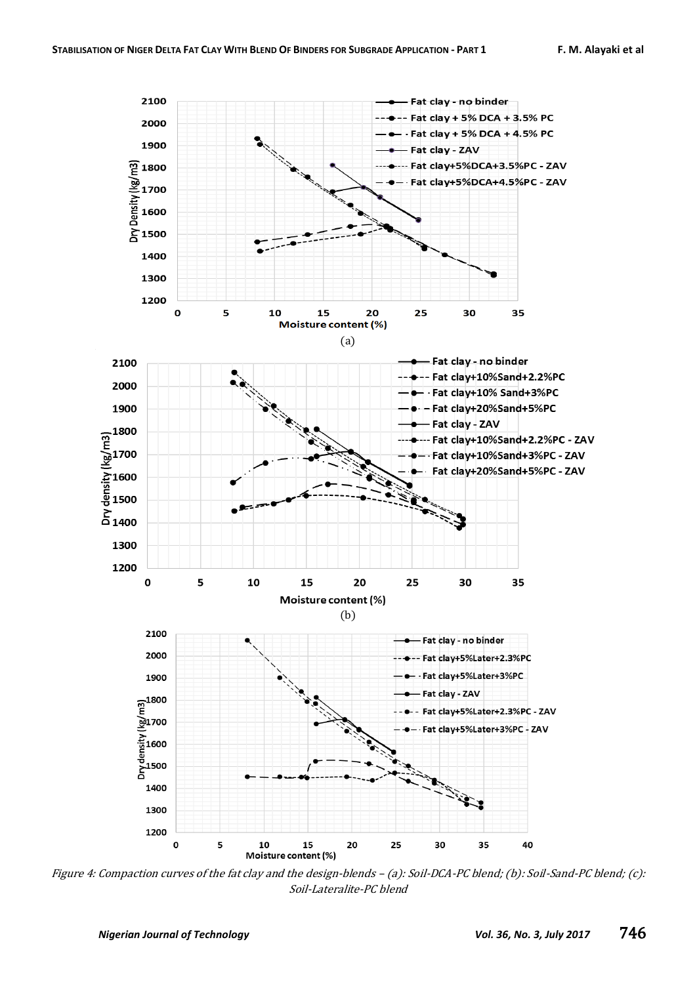

Figure 4: Compaction curves of the fat clay and the design-blends – (a): Soil-DCA-PC blend; (b): Soil-Sand-PC blend; (c): Soil-Lateralite-PC blend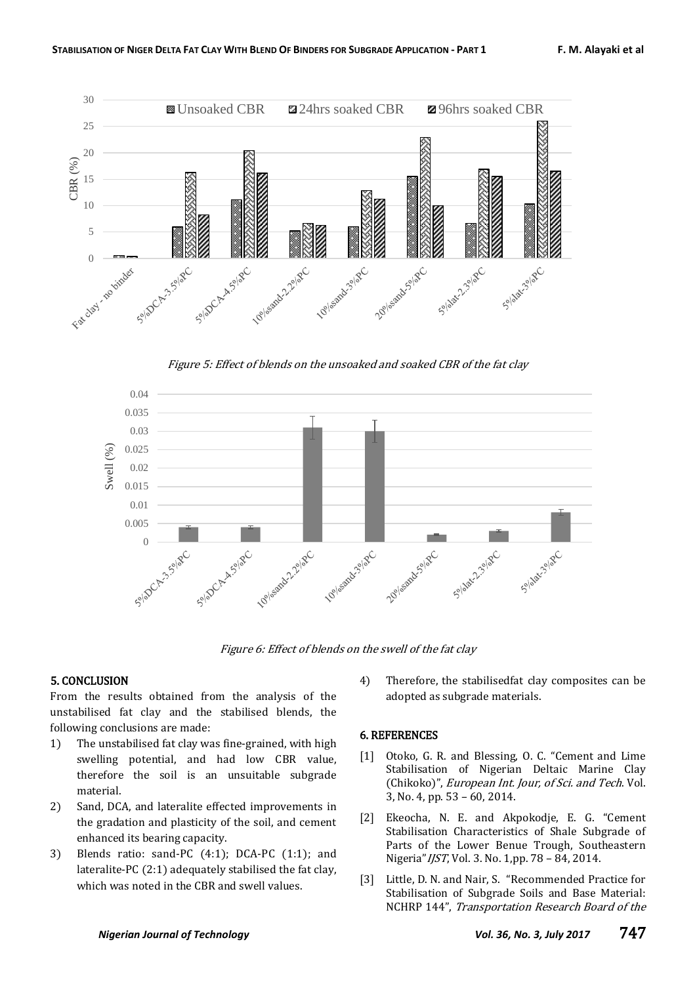

Figure 5: Effect of blends on the unsoaked and soaked CBR of the fat clay



Figure 6: Effect of blends on the swell of the fat clay

# 5. CONCLUSION

From the results obtained from the analysis of the unstabilised fat clay and the stabilised blends, the following conclusions are made:

- 1) The unstabilised fat clay was fine-grained, with high swelling potential, and had low CBR value, therefore the soil is an unsuitable subgrade material.
- 2) Sand, DCA, and lateralite effected improvements in the gradation and plasticity of the soil, and cement enhanced its bearing capacity.
- 3) Blends ratio: sand-PC (4:1); DCA-PC (1:1); and lateralite-PC (2:1) adequately stabilised the fat clay, which was noted in the CBR and swell values.

4) Therefore, the stabilisedfat clay composites can be adopted as subgrade materials.

# 6. REFERENCES

- [1] Otoko, G. R. and Blessing, O. C. "Cement and Lime Stabilisation of Nigerian Deltaic Marine Clay (Chikoko)", European Int. Jour, of Sci. and Tech. Vol. 3, No. 4, pp. 53 – 60, 2014.
- [2] Ekeocha, N. E. and Akpokodje, E. G. "Cement Stabilisation Characteristics of Shale Subgrade of Parts of the Lower Benue Trough, Southeastern Nigeria"IJST, Vol. 3. No. 1,pp. 78 – 84, 2014.
- [3] Little, D. N. and Nair, S. "Recommended Practice for Stabilisation of Subgrade Soils and Base Material: NCHRP 144", Transportation Research Board of the